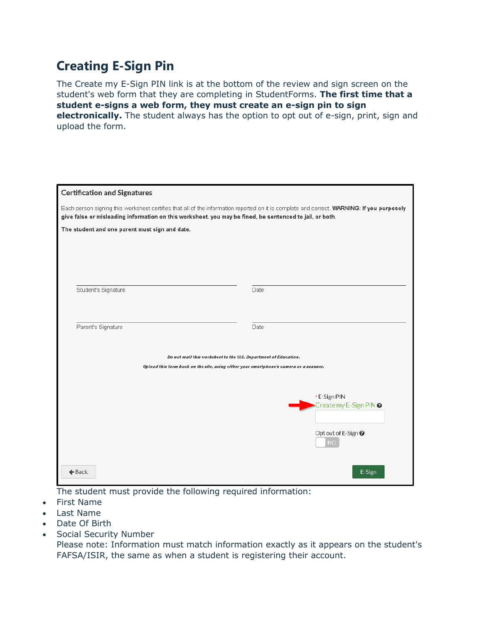## **Creating E-Sign Pin**

The Create my E-Sign PIN link is at the bottom of the review and sign screen on the student's web form that they are completing in StudentForms. **The first time that a student e-signs a web form, they must create an e-sign pin to sign electronically.** The student always has the option to opt out of e-sign, print, sign and upload the form.

| <b>Certification and Signatures</b>                                                                                                                                                                                                                    |                                        |  |  |
|--------------------------------------------------------------------------------------------------------------------------------------------------------------------------------------------------------------------------------------------------------|----------------------------------------|--|--|
| Each person signing this worksheet certifies that all of the information reported on it is complete and correct. WARNING: If you purposely<br>give false or misleading information on this worksheet, you may be fined, be sentenced to jail, or both. |                                        |  |  |
| The student and one parent must sign and date.                                                                                                                                                                                                         |                                        |  |  |
|                                                                                                                                                                                                                                                        |                                        |  |  |
|                                                                                                                                                                                                                                                        |                                        |  |  |
| Student's Signature                                                                                                                                                                                                                                    | Date                                   |  |  |
|                                                                                                                                                                                                                                                        |                                        |  |  |
|                                                                                                                                                                                                                                                        |                                        |  |  |
| Parent's Signature                                                                                                                                                                                                                                     | Date                                   |  |  |
| Do not mail this worksheet to the U.S. Department of Education.                                                                                                                                                                                        |                                        |  |  |
| Upload this form back on the site, using either your smartphone's camera or a scanner.                                                                                                                                                                 |                                        |  |  |
|                                                                                                                                                                                                                                                        |                                        |  |  |
|                                                                                                                                                                                                                                                        | * E-Sign PIN<br>Create my E-Sign PIN @ |  |  |
|                                                                                                                                                                                                                                                        |                                        |  |  |
|                                                                                                                                                                                                                                                        | Opt out of E-Sign @<br><b>NO</b>       |  |  |
| $\leftarrow$ Back                                                                                                                                                                                                                                      | E-Sign                                 |  |  |

The student must provide the following required information:

- First Name
- Last Name
- Date Of Birth
- Social Security Number

Please note: Information must match information exactly as it appears on the student's FAFSA/ISIR, the same as when a student is registering their account.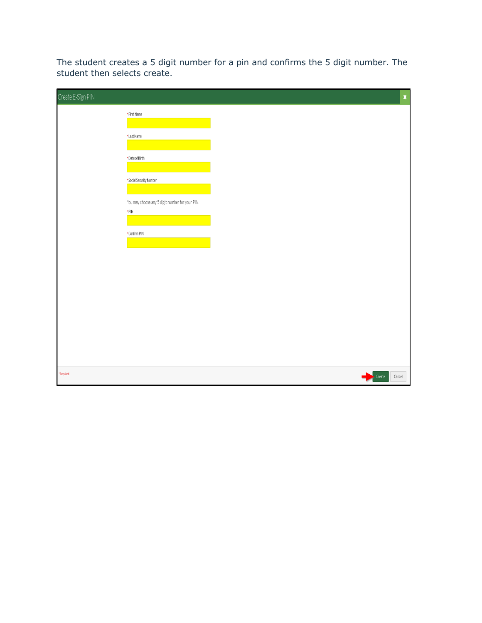The student creates a 5 digit number for a pin and confirms the 5 digit number. The student then selects create.

| Create E-Sign PIN |                                                                |  | $\pmb{\mathsf{x}}$ |
|-------------------|----------------------------------------------------------------|--|--------------------|
|                   | • First Name                                                   |  |                    |
|                   | <b>·Last Name</b>                                              |  |                    |
|                   | * Date of Birth                                                |  |                    |
|                   | · Social Security Number                                       |  |                    |
|                   | You may choose any 5 digit number for your PIN.<br>$\cdot$ PIN |  |                    |
|                   | * Confirm PIN                                                  |  |                    |
|                   |                                                                |  |                    |
|                   |                                                                |  |                    |
|                   |                                                                |  |                    |
|                   |                                                                |  |                    |
|                   |                                                                |  |                    |
|                   |                                                                |  |                    |
| *Required         |                                                                |  | $Cancel$<br>Create |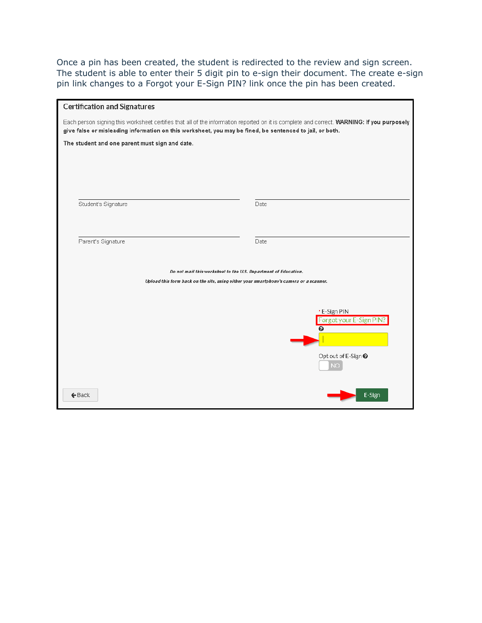Once a pin has been created, the student is redirected to the review and sign screen. The student is able to enter their 5 digit pin to e-sign their document. The create e-sign pin link changes to a Forgot your E-Sign PIN? link once the pin has been created.

| <b>Certification and Signatures</b>                                                                                                                                                                                                                    |                                                                 |  |  |
|--------------------------------------------------------------------------------------------------------------------------------------------------------------------------------------------------------------------------------------------------------|-----------------------------------------------------------------|--|--|
| Each person signing this worksheet certifies that all of the information reported on it is complete and correct. WARNING: If you purposely<br>give false or misleading information on this worksheet, you may be fined, be sentenced to jail, or both. |                                                                 |  |  |
| The student and one parent must sign and date.                                                                                                                                                                                                         |                                                                 |  |  |
|                                                                                                                                                                                                                                                        |                                                                 |  |  |
|                                                                                                                                                                                                                                                        |                                                                 |  |  |
|                                                                                                                                                                                                                                                        |                                                                 |  |  |
| Student's Signature                                                                                                                                                                                                                                    | Date                                                            |  |  |
|                                                                                                                                                                                                                                                        |                                                                 |  |  |
| Parent's Signature                                                                                                                                                                                                                                     | Date                                                            |  |  |
|                                                                                                                                                                                                                                                        |                                                                 |  |  |
| Upload this form back on the site, using either your smartphone's camera or a scanner.                                                                                                                                                                 | Do not mail this worksheet to the U.S. Department of Education. |  |  |
|                                                                                                                                                                                                                                                        |                                                                 |  |  |
|                                                                                                                                                                                                                                                        | * E-Sign PIN                                                    |  |  |
|                                                                                                                                                                                                                                                        | Forgot your E-Sign PIN?<br>๏                                    |  |  |
|                                                                                                                                                                                                                                                        |                                                                 |  |  |
|                                                                                                                                                                                                                                                        | Opt out of E-Sign <sup>●</sup>                                  |  |  |
|                                                                                                                                                                                                                                                        | <b>NO</b>                                                       |  |  |
|                                                                                                                                                                                                                                                        |                                                                 |  |  |
| $\leftarrow$ Back                                                                                                                                                                                                                                      | E-Sign                                                          |  |  |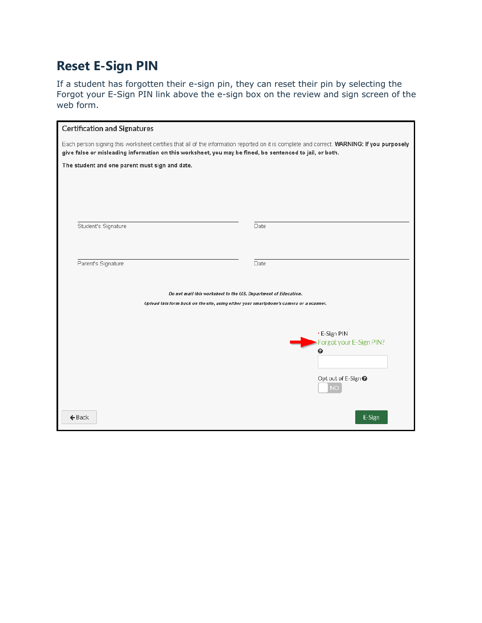## **Reset E-Sign PIN**

If a student has forgotten their e-sign pin, they can reset their pin by selecting the Forgot your E-Sign PIN link above the e-sign box on the review and sign screen of the web form.

| <b>Certification and Signatures</b>                                                                                                                                                                                                                    |                                             |  |
|--------------------------------------------------------------------------------------------------------------------------------------------------------------------------------------------------------------------------------------------------------|---------------------------------------------|--|
| Each person signing this worksheet certifies that all of the information reported on it is complete and correct. WARNING: If you purposely<br>give false or misleading information on this worksheet, you may be fined, be sentenced to jail, or both. |                                             |  |
| The student and one parent must sign and date.                                                                                                                                                                                                         |                                             |  |
|                                                                                                                                                                                                                                                        |                                             |  |
|                                                                                                                                                                                                                                                        |                                             |  |
|                                                                                                                                                                                                                                                        |                                             |  |
| Student's Signature                                                                                                                                                                                                                                    | Date                                        |  |
|                                                                                                                                                                                                                                                        |                                             |  |
| Parent's Signature                                                                                                                                                                                                                                     | Date                                        |  |
|                                                                                                                                                                                                                                                        |                                             |  |
| Do not mail this worksheet to the U.S. Department of Education.<br>Upload this form back on the site, using either your smartphone's camera or a scanner.                                                                                              |                                             |  |
|                                                                                                                                                                                                                                                        |                                             |  |
|                                                                                                                                                                                                                                                        | * E-Sign PIN                                |  |
|                                                                                                                                                                                                                                                        | Forgot your E-Sign PIN?<br>◒                |  |
|                                                                                                                                                                                                                                                        |                                             |  |
|                                                                                                                                                                                                                                                        | Opt out of E-Sign <sup>●</sup><br><b>NO</b> |  |
|                                                                                                                                                                                                                                                        |                                             |  |
| $\leftarrow$ Back                                                                                                                                                                                                                                      | E-Sign                                      |  |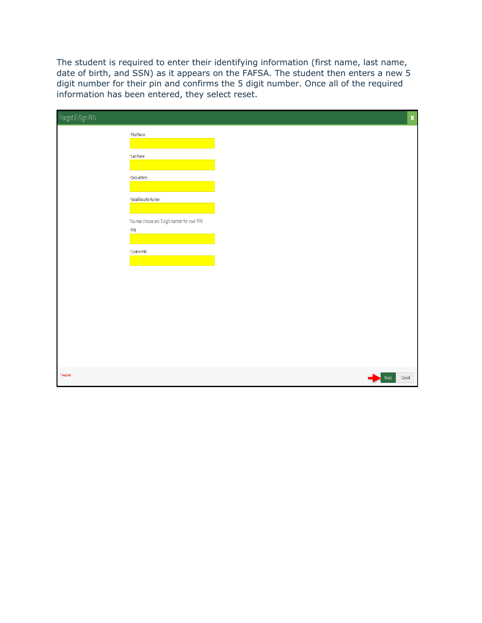The student is required to enter their identifying information (first name, last name, date of birth, and SSN) as it appears on the FAFSA. The student then enters a new 5 digit number for their pin and confirms the 5 digit number. Once all of the required information has been entered, they select reset.

| Forgot E-Sign PIN | $\pmb{\mathsf{x}}$                                             |
|-------------------|----------------------------------------------------------------|
|                   | • First Name                                                   |
|                   |                                                                |
|                   | <b>.</b> Last Name                                             |
|                   | • Date of Birth                                                |
|                   |                                                                |
|                   | · Social Security Number                                       |
|                   |                                                                |
|                   | You may choose any 5 digit number for your PIN.<br>$\cdot$ PIN |
|                   |                                                                |
|                   | • Confirm PIN                                                  |
|                   |                                                                |
|                   |                                                                |
|                   |                                                                |
|                   |                                                                |
|                   |                                                                |
|                   |                                                                |
|                   |                                                                |
|                   |                                                                |
| *Required         | $\textbf{Reset}$<br>Cancel                                     |